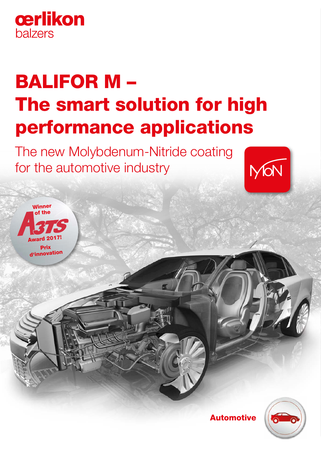

Winner of the

Award 2017! **Drix** d'innovation

# BALIFOR M – The smart solution for high performance applications

The new Molybdenum-Nitride coating for the automotive industry





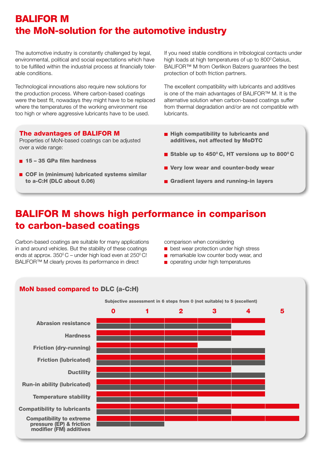# BALIFOR M the MoN-solution for the automotive industry

The automotive industry is constantly challenged by legal, environmental, political and social expectations which have to be fulfilled within the industrial process at financially tolerable conditions.

Technological innovations also require new solutions for the production process. Where carbon-based coatings were the best fit, nowadays they might have to be replaced where the temperatures of the working environment rise too high or where aggressive lubricants have to be used.

If you need stable conditions in tribological contacts under high loads at high temperatures of up to 800° Celsius, BALIFOR™ M from Oerlikon Balzers guarantees the best protection of both friction partners.

The excellent compatibility with lubricants and additives is one of the main advantages of BALIFOR™ M. It is the alternative solution when carbon-based coatings suffer from thermal degradation and/or are not compatible with lubricants.

## The advantages of BALIFOR M

Properties of MoN-based coatings can be adjusted over a wide range:

- $\blacksquare$  15 35 GPa film hardness
- COF in (minimum) lubricated systems similar to a-C:H (DLC about 0.06)
- $\blacksquare$  High compatibility to lubricants and additives, not affected by MoDTC
- Stable up to 450 $^{\circ}$ C, HT versions up to 800 $^{\circ}$ C
- Very low wear and counter-body wear
- Gradient layers and running-in layers

# BALIFOR M shows high performance in comparison to carbon-based coatings

Carbon-based coatings are suitable for many applications in and around vehicles. But the stability of these coatings ends at approx.  $350^{\circ}$ C – under high load even at  $250^{\circ}$ C! BALIFOR™ M clearly proves its performance in direct

comparison when considering

- **b** best wear protection under high stress
- **F** remarkable low counter body wear, and
- operating under high temperatures

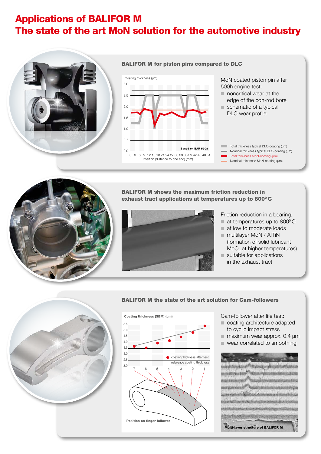# Applications of BALIFOR M The state of the art MoN solution for the automotive industry



## BALIFOR M for piston pins compared to DLC



#### MoN coated piston pin after 500h engine test:

- noncritical wear at the edge of the con-rod bore schematic of a typical
	- DLC wear profile
- Total thickness typical DLC-coating (um) Nominal thickness typical DLC-coating (µm)
- Total thickness MoN-coating (um)
- Nominal thickness MoN-coating (µm)



BALIFOR M shows the maximum friction reduction in exhaust tract applications at temperatures up to 800°C



- Friction reduction in a bearing:
- $\blacksquare$  at temperatures up to 800 $^{\circ}$ C
- at low to moderate loads
- multilayer MoN / AlTiN (formation of solid lubricant  $\mathsf{MoO}_{_{3}}$  at higher temperatures) suitable for applications
- in the exhaust tract



### BALIFOR M the state of the art solution for Cam-followers



Cam-follower after life test:

- coating architecture adapted to cyclic impact stress
- $\blacksquare$  maximum wear approx. 0.4  $\mu$ m
- wear correlated to smoothing